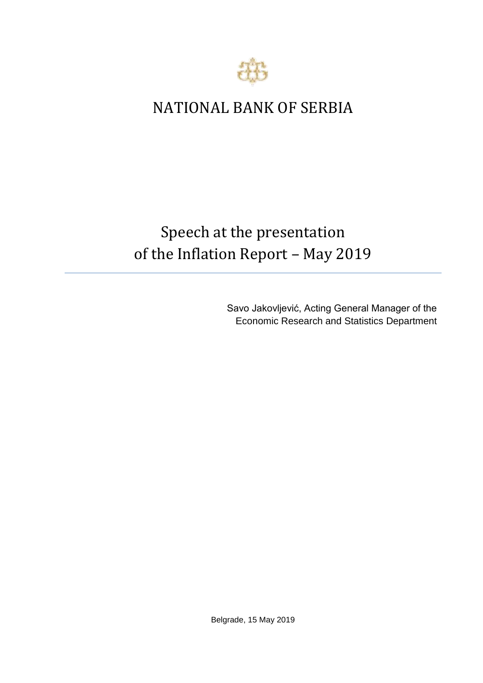

## NATIONAL BANK OF SERBIA

## Speech at the presentation of the Inflation Report – May 2019

Savo Jakovljević, Acting General Manager of the Economic Research and Statistics Department

Belgrade, 15 May 2019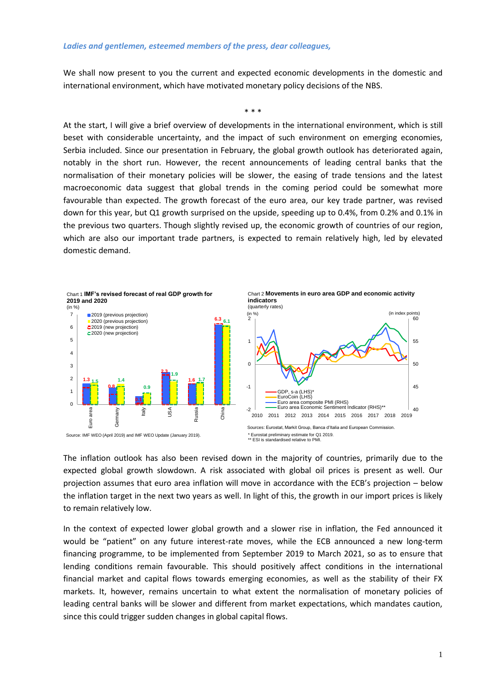We shall now present to you the current and expected economic developments in the domestic and international environment, which have motivated monetary policy decisions of the NBS.

\* \* \*

At the start, I will give a brief overview of developments in the international environment, which is still beset with considerable uncertainty, and the impact of such environment on emerging economies, Serbia included. Since our presentation in February, the global growth outlook has deteriorated again, notably in the short run. However, the recent announcements of leading central banks that the normalisation of their monetary policies will be slower, the easing of trade tensions and the latest macroeconomic data suggest that global trends in the coming period could be somewhat more favourable than expected. The growth forecast of the euro area, our key trade partner, was revised down for this year, but Q1 growth surprised on the upside, speeding up to 0.4%, from 0.2% and 0.1% in the previous two quarters. Though slightly revised up, the economic growth of countries of our region, which are also our important trade partners, is expected to remain relatively high, led by elevated domestic demand.



The inflation outlook has also been revised down in the majority of countries, primarily due to the expected global growth slowdown. A risk associated with global oil prices is present as well. Our projection assumes that euro area inflation will move in accordance with the ECB's projection – below the inflation target in the next two years as well. In light of this, the growth in our import prices is likely to remain relatively low.

In the context of expected lower global growth and a slower rise in inflation, the Fed announced it would be "patient" on any future interest-rate moves, while the ECB announced a new long-term financing programme, to be implemented from September 2019 to March 2021, so as to ensure that lending conditions remain favourable. This should positively affect conditions in the international financial market and capital flows towards emerging economies, as well as the stability of their FX markets. It, however, remains uncertain to what extent the normalisation of monetary policies of leading central banks will be slower and different from market expectations, which mandates caution, since this could trigger sudden changes in global capital flows.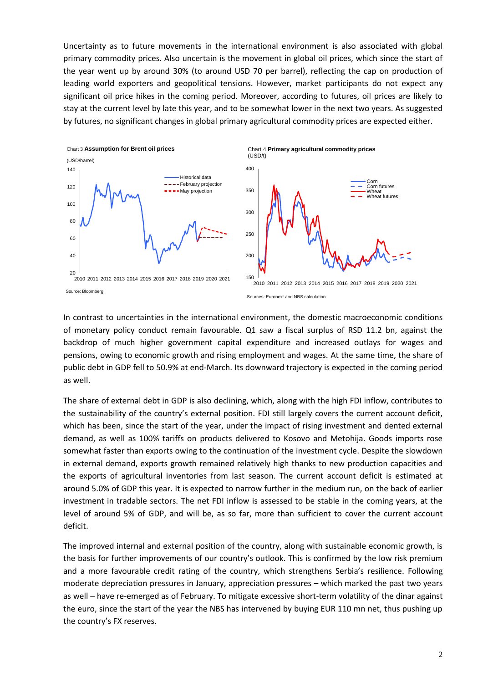Uncertainty as to future movements in the international environment is also associated with global primary commodity prices. Also uncertain is the movement in global oil prices, which since the start of the year went up by around 30% (to around USD 70 per barrel), reflecting the cap on production of leading world exporters and geopolitical tensions. However, market participants do not expect any significant oil price hikes in the coming period. Moreover, according to futures, oil prices are likely to stay at the current level by late this year, and to be somewhat lower in the next two years. As suggested by futures, no significant changes in global primary agricultural commodity prices are expected either.





Sources: Euronext and NBS calculation.

In contrast to uncertainties in the international environment, the domestic macroeconomic conditions of monetary policy conduct remain favourable. Q1 saw a fiscal surplus of RSD 11.2 bn, against the backdrop of much higher government capital expenditure and increased outlays for wages and pensions, owing to economic growth and rising employment and wages. At the same time, the share of public debt in GDP fell to 50.9% at end-March. Its downward trajectory is expected in the coming period as well.

The share of external debt in GDP is also declining, which, along with the high FDI inflow, contributes to the sustainability of the country's external position. FDI still largely covers the current account deficit, which has been, since the start of the year, under the impact of rising investment and dented external demand, as well as 100% tariffs on products delivered to Kosovo and Metohija. Goods imports rose somewhat faster than exports owing to the continuation of the investment cycle. Despite the slowdown in external demand, exports growth remained relatively high thanks to new production capacities and the exports of agricultural inventories from last season. The current account deficit is estimated at around 5.0% of GDP this year. It is expected to narrow further in the medium run, on the back of earlier investment in tradable sectors. The net FDI inflow is assessed to be stable in the coming years, at the level of around 5% of GDP, and will be, as so far, more than sufficient to cover the current account deficit.

The improved internal and external position of the country, along with sustainable economic growth, is the basis for further improvements of our country's outlook. This is confirmed by the low risk premium and a more favourable credit rating of the country, which strengthens Serbia's resilience. Following moderate depreciation pressures in January, appreciation pressures – which marked the past two years as well – have re-emerged as of February. To mitigate excessive short-term volatility of the dinar against the euro, since the start of the year the NBS has intervened by buying EUR 110 mn net, thus pushing up the country's FX reserves.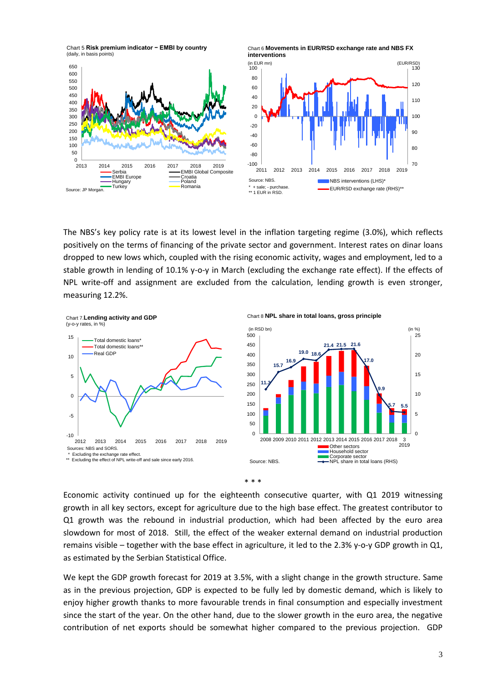Chart 5 **Risk premium indicator − EMBI by country**  (daily, in basis points)

Serbia<br>EMBI Europe Croatia<br>Hungary Coland Hungary Poland Turkey Romania

Source: JP Morgan





The NBS's key policy rate is at its lowest level in the inflation targeting regime (3.0%), which reflects positively on the terms of financing of the private sector and government. Interest rates on dinar loans dropped to new lows which, coupled with the rising economic activity, wages and employment, led to a stable growth in lending of 10.1% y-o-y in March (excluding the exchange rate effect). If the effects of NPL write-off and assignment are excluded from the calculation, lending growth is even stronger, measuring 12.2%.



Chart 8 **NPL share in total loans, gross principle**





Economic activity continued up for the eighteenth consecutive quarter, with Q1 2019 witnessing growth in all key sectors, except for agriculture due to the high base effect. The greatest contributor to Q1 growth was the rebound in industrial production, which had been affected by the euro area slowdown for most of 2018. Still, the effect of the weaker external demand on industrial production remains visible – together with the base effect in agriculture, it led to the 2.3% y-o-y GDP growth in Q1, as estimated by the Serbian Statistical Office.

We kept the GDP growth forecast for 2019 at 3.5%, with a slight change in the growth structure. Same as in the previous projection, GDP is expected to be fully led by domestic demand, which is likely to enjoy higher growth thanks to more favourable trends in final consumption and especially investment since the start of the year. On the other hand, due to the slower growth in the euro area, the negative contribution of net exports should be somewhat higher compared to the previous projection. GDP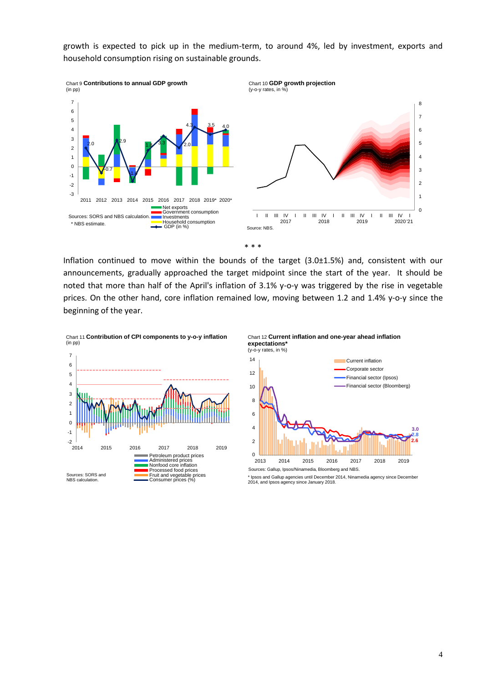growth is expected to pick up in the medium-term, to around 4%, led by investment, exports and household consumption rising on sustainable grounds.





Inflation continued to move within the bounds of the target (3.0±1.5%) and, consistent with our announcements, gradually approached the target midpoint since the start of the year. It should be noted that more than half of the April's inflation of 3.1% y-o-y was triggered by the rise in vegetable prices. On the other hand, core inflation remained low, moving between 1.2 and 1.4% y-o-y since the beginning of the year.

Chart 11 **Contribution of CPI components to y-o-y inflation** (in pp)



Chart 12 **Current inflation and one-year ahead inflation expectations\***

I II III IV 2019



Sources: Gallup, Ipsos/Ninamedia, Bloomberg and NBS.

I II III IV 2020 I '21

<sup>\*</sup> Ipsos and Gallup agencies until December 2014, Ninamedia agency since December 2014, and Ipsos agency since January 2018.